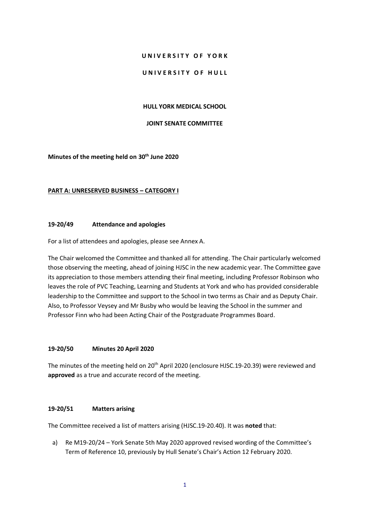### **U N I V E R S I T Y O F Y O R K**

### UNIVERSITY OF HULL

#### **HULL YORK MEDICAL SCHOOL**

# **JOINT SENATE COMMITTEE**

### **Minutes of the meeting held on 30 th June 2020**

### **PART A: UNRESERVED BUSINESS – CATEGORY I**

### **19-20/49 Attendance and apologies**

For a list of attendees and apologies, please see Annex A.

The Chair welcomed the Committee and thanked all for attending. The Chair particularly welcomed those observing the meeting, ahead of joining HJSC in the new academic year. The Committee gave its appreciation to those members attending their final meeting, including Professor Robinson who leaves the role of PVC Teaching, Learning and Students at York and who has provided considerable leadership to the Committee and support to the School in two terms as Chair and as Deputy Chair. Also, to Professor Veysey and Mr Busby who would be leaving the School in the summer and Professor Finn who had been Acting Chair of the Postgraduate Programmes Board.

### **19-20/50 Minutes 20 April 2020**

The minutes of the meeting held on 20<sup>th</sup> April 2020 (enclosure HJSC.19-20.39) were reviewed and **approved** as a true and accurate record of the meeting.

### **19-20/51 Matters arising**

The Committee received a list of matters arising (HJSC.19-20.40). It was **noted** that:

a) Re M19-20/24 – York Senate 5th May 2020 approved revised wording of the Committee's Term of Reference 10, previously by Hull Senate's Chair's Action 12 February 2020.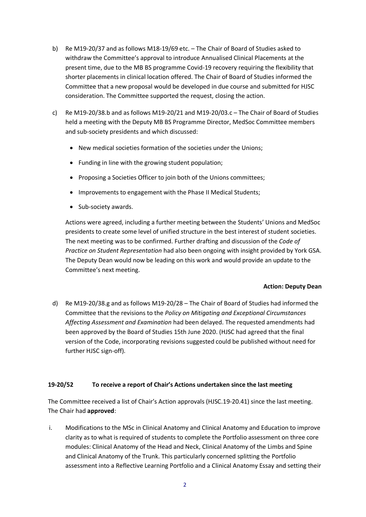- b) Re M19-20/37 and as follows M18-19/69 etc. The Chair of Board of Studies asked to withdraw the Committee's approval to introduce Annualised Clinical Placements at the present time, due to the MB BS programme Covid-19 recovery requiring the flexibility that shorter placements in clinical location offered. The Chair of Board of Studies informed the Committee that a new proposal would be developed in due course and submitted for HJSC consideration. The Committee supported the request, closing the action.
- c) Re M19-20/38.b and as follows M19-20/21 and M19-20/03.c The Chair of Board of Studies held a meeting with the Deputy MB BS Programme Director, MedSoc Committee members and sub-society presidents and which discussed:
	- New medical societies formation of the societies under the Unions;
	- Funding in line with the growing student population;
	- Proposing a Societies Officer to join both of the Unions committees;
	- Improvements to engagement with the Phase II Medical Students;
	- Sub-society awards.

Actions were agreed, including a further meeting between the Students' Unions and MedSoc presidents to create some level of unified structure in the best interest of student societies. The next meeting was to be confirmed. Further drafting and discussion of the *Code of Practice on Student Representation* had also been ongoing with insight provided by York GSA. The Deputy Dean would now be leading on this work and would provide an update to the Committee's next meeting.

# **Action: Deputy Dean**

d) Re M19-20/38.g and as follows M19-20/28 – The Chair of Board of Studies had informed the Committee that the revisions to the *Policy on Mitigating and Exceptional Circumstances Affecting Assessment and Examination* had been delayed. The requested amendments had been approved by the Board of Studies 15th June 2020. (HJSC had agreed that the final version of the Code, incorporating revisions suggested could be published without need for further HJSC sign-off).

# **19-20/52 To receive a report of Chair's Actions undertaken since the last meeting**

The Committee received a list of Chair's Action approvals (HJSC.19-20.41) since the last meeting. The Chair had **approved**:

i. Modifications to the MSc in Clinical Anatomy and Clinical Anatomy and Education to improve clarity as to what is required of students to complete the Portfolio assessment on three core modules: Clinical Anatomy of the Head and Neck, Clinical Anatomy of the Limbs and Spine and Clinical Anatomy of the Trunk. This particularly concerned splitting the Portfolio assessment into a Reflective Learning Portfolio and a Clinical Anatomy Essay and setting their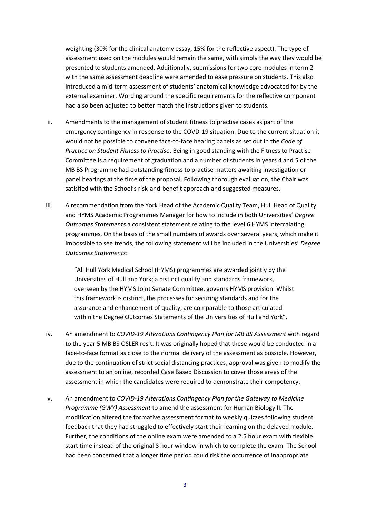weighting (30% for the clinical anatomy essay, 15% for the reflective aspect). The type of assessment used on the modules would remain the same, with simply the way they would be presented to students amended. Additionally, submissions for two core modules in term 2 with the same assessment deadline were amended to ease pressure on students. This also introduced a mid-term assessment of students' anatomical knowledge advocated for by the external examiner. Wording around the specific requirements for the reflective component had also been adjusted to better match the instructions given to students.

- ii. Amendments to the management of student fitness to practise cases as part of the emergency contingency in response to the COVD-19 situation. Due to the current situation it would not be possible to convene face-to-face hearing panels as set out in the *Code of Practice on Student Fitness to Practise*. Being in good standing with the Fitness to Practise Committee is a requirement of graduation and a number of students in years 4 and 5 of the MB BS Programme had outstanding fitness to practise matters awaiting investigation or panel hearings at the time of the proposal. Following thorough evaluation, the Chair was satisfied with the School's risk-and-benefit approach and suggested measures.
- iii. A recommendation from the York Head of the Academic Quality Team, Hull Head of Quality and HYMS Academic Programmes Manager for how to include in both Universities' *Degree Outcomes Statements* a consistent statement relating to the level 6 HYMS intercalating programmes. On the basis of the small numbers of awards over several years, which make it impossible to see trends, the following statement will be included in the Universities' *Degree Outcomes Statements*:

"All Hull York Medical School (HYMS) programmes are awarded jointly by the Universities of Hull and York; a distinct quality and standards framework, overseen by the HYMS Joint Senate Committee, governs HYMS provision. Whilst this framework is distinct, the processes for securing standards and for the assurance and enhancement of quality, are comparable to those articulated within the Degree Outcomes Statements of the Universities of Hull and York".

- iv. An amendment to *COVID-19 Alterations Contingency Plan for MB BS Assessment* with regard to the year 5 MB BS OSLER resit. It was originally hoped that these would be conducted in a face-to-face format as close to the normal delivery of the assessment as possible. However, due to the continuation of strict social distancing practices, approval was given to modify the assessment to an online, recorded Case Based Discussion to cover those areas of the assessment in which the candidates were required to demonstrate their competency.
- v. An amendment to *COVID-19 Alterations Contingency Plan for the Gateway to Medicine Programme (GWY) Assessment* to amend the assessment for Human Biology II. The modification altered the formative assessment format to weekly quizzes following student feedback that they had struggled to effectively start their learning on the delayed module. Further, the conditions of the online exam were amended to a 2.5 hour exam with flexible start time instead of the original 8 hour window in which to complete the exam. The School had been concerned that a longer time period could risk the occurrence of inappropriate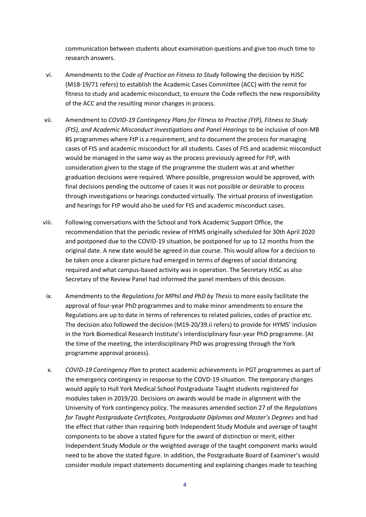communication between students about examination questions and give too much time to research answers.

- vi. Amendments to the *Code of Practice on Fitness to Study* following the decision by HJSC (M18-19/71 refers) to establish the Academic Cases Committee (ACC) with the remit for fitness to study and academic misconduct, to ensure the Code reflects the new responsibility of the ACC and the resulting minor changes in process.
- vii. Amendment to *COVID-19 Contingency Plans for Fitness to Practise (FtP), Fitness to Study (FtS), and Academic Misconduct Investigations and Panel Hearings* to be inclusive of non-MB BS programmes where FtP is a requirement, and to document the process for managing cases of FtS and academic misconduct for all students. Cases of FtS and academic misconduct would be managed in the same way as the process previously agreed for FtP, with consideration given to the stage of the programme the student was at and whether graduation decisions were required. Where possible, progression would be approved, with final decisions pending the outcome of cases it was not possible or desirable to process through investigations or hearings conducted virtually. The virtual process of investigation and hearings for FtP would also be used for FtS and academic misconduct cases.
- viii. Following conversations with the School and York Academic Support Office, the recommendation that the periodic review of HYMS originally scheduled for 30th April 2020 and postponed due to the COVID-19 situation, be postponed for up to 12 months from the original date. A new date would be agreed in due course. This would allow for a decision to be taken once a clearer picture had emerged in terms of degrees of social distancing required and what campus-based activity was in operation. The Secretary HJSC as also Secretary of the Review Panel had informed the panel members of this decision.
- ix. Amendments to the *Regulations for MPhil and PhD by Thesis* to more easily facilitate the approval of four-year PhD programmes and to make minor amendments to ensure the Regulations are up to date in terms of references to related policies, codes of practice etc. The decision also followed the decision (M19-20/39.ii refers) to provide for HYMS' inclusion in the York Biomedical Research Institute's interdisciplinary four-year PhD programme. (At the time of the meeting, the interdisciplinary PhD was progressing through the York programme approval process).
- x. *COVID-19 Contingency Plan* to protect academic achievements in PGT programmes as part of the emergency contingency in response to the COVD-19 situation. The temporary changes would apply to Hull York Medical School Postgraduate Taught students registered for modules taken in 2019/20. Decisions on awards would be made in alignment with the University of York contingency policy. The measures amended section 27 of the *Regulations for Taught Postgraduate Certificates, Postgraduate Diplomas and Master's Degrees* and had the effect that rather than requiring both Independent Study Module and average of taught components to be above a stated figure for the award of distinction or merit, either Independent Study Module or the weighted average of the taught component marks would need to be above the stated figure. In addition, the Postgraduate Board of Examiner's would consider module impact statements documenting and explaining changes made to teaching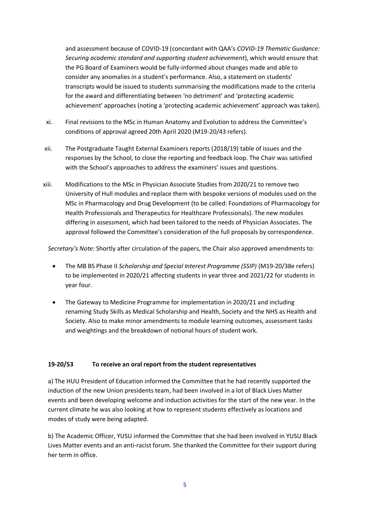and assessment because of COVID-19 (concordant with QAA's *COVID-19 Thematic Guidance: Securing academic standard and supporting student achievement*), which would ensure that the PG Board of Examiners would be fully-informed about changes made and able to consider any anomalies in a student's performance. Also, a statement on students' transcripts would be issued to students summarising the modifications made to the criteria for the award and differentiating between 'no detriment' and 'protecting academic achievement' approaches (noting a 'protecting academic achievement' approach was taken).

- xi. Final revisions to the MSc in Human Anatomy and Evolution to address the Committee's conditions of approval agreed 20th April 2020 (M19-20/43 refers).
- xii. The Postgraduate Taught External Examiners reports (2018/19) table of issues and the responses by the School, to close the reporting and feedback loop. The Chair was satisfied with the School's approaches to address the examiners' issues and questions.
- xiii. Modifications to the MSc in Physician Associate Studies from 2020/21 to remove two University of Hull modules and replace them with bespoke versions of modules used on the MSc in Pharmacology and Drug Development (to be called: Foundations of Pharmacology for Health Professionals and Therapeutics for Healthcare Professionals). The new modules differing in assessment, which had been tailored to the needs of Physician Associates. The approval followed the Committee's consideration of the full proposals by correspondence.

*Secretary's Note:* Shortly after circulation of the papers, the Chair also approved amendments to:

- The MB BS Phase II *Scholarship and Special Interest Programme (SSIP)* (M19-20/38e refers) to be implemented in 2020/21 affecting students in year three and 2021/22 for students in year four.
- The Gateway to Medicine Programme for implementation in 2020/21 and including renaming Study Skills as Medical Scholarship and Health, Society and the NHS as Health and Society. Also to make minor amendments to module learning outcomes, assessment tasks and weightings and the breakdown of notional hours of student work.

# **19-20/53 To receive an oral report from the student representatives**

a) The HUU President of Education informed the Committee that he had recently supported the induction of the new Union presidents team, had been involved in a lot of Black Lives Matter events and been developing welcome and induction activities for the start of the new year. In the current climate he was also looking at how to represent students effectively as locations and modes of study were being adapted.

b) The Academic Officer, YUSU informed the Committee that she had been involved in YUSU Black Lives Matter events and an anti-racist forum. She thanked the Committee for their support during her term in office.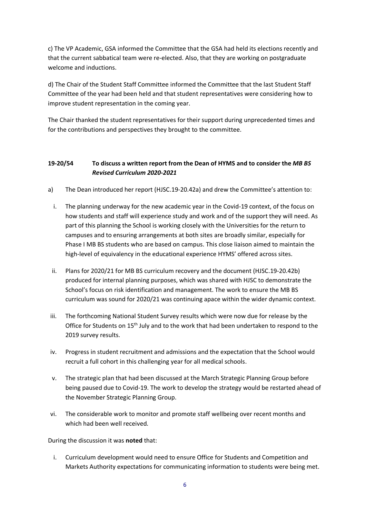c) The VP Academic, GSA informed the Committee that the GSA had held its elections recently and that the current sabbatical team were re-elected. Also, that they are working on postgraduate welcome and inductions.

d) The Chair of the Student Staff Committee informed the Committee that the last Student Staff Committee of the year had been held and that student representatives were considering how to improve student representation in the coming year.

The Chair thanked the student representatives for their support during unprecedented times and for the contributions and perspectives they brought to the committee.

# **19-20/54 To discuss a written report from the Dean of HYMS and to consider the** *MB BS Revised Curriculum 2020-2021*

- a) The Dean introduced her report (HJSC.19-20.42a) and drew the Committee's attention to:
	- i. The planning underway for the new academic year in the Covid-19 context, of the focus on how students and staff will experience study and work and of the support they will need. As part of this planning the School is working closely with the Universities for the return to campuses and to ensuring arrangements at both sites are broadly similar, especially for Phase I MB BS students who are based on campus. This close liaison aimed to maintain the high-level of equivalency in the educational experience HYMS' offered across sites.
	- ii. Plans for 2020/21 for MB BS curriculum recovery and the document (HJSC.19-20.42b) produced for internal planning purposes, which was shared with HJSC to demonstrate the School's focus on risk identification and management. The work to ensure the MB BS curriculum was sound for 2020/21 was continuing apace within the wider dynamic context.
- iii. The forthcoming National Student Survey results which were now due for release by the Office for Students on 15<sup>th</sup> July and to the work that had been undertaken to respond to the 2019 survey results.
- iv. Progress in student recruitment and admissions and the expectation that the School would recruit a full cohort in this challenging year for all medical schools.
- v. The strategic plan that had been discussed at the March Strategic Planning Group before being paused due to Covid-19. The work to develop the strategy would be restarted ahead of the November Strategic Planning Group.
- vi. The considerable work to monitor and promote staff wellbeing over recent months and which had been well received.

# During the discussion it was **noted** that:

i. Curriculum development would need to ensure Office for Students and Competition and Markets Authority expectations for communicating information to students were being met.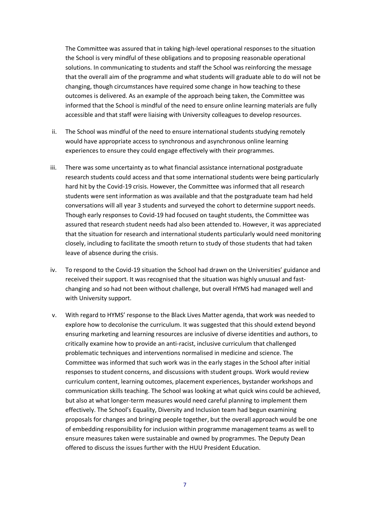The Committee was assured that in taking high-level operational responses to the situation the School is very mindful of these obligations and to proposing reasonable operational solutions. In communicating to students and staff the School was reinforcing the message that the overall aim of the programme and what students will graduate able to do will not be changing, though circumstances have required some change in how teaching to these outcomes is delivered. As an example of the approach being taken, the Committee was informed that the School is mindful of the need to ensure online learning materials are fully accessible and that staff were liaising with University colleagues to develop resources.

- ii. The School was mindful of the need to ensure international students studying remotely would have appropriate access to synchronous and asynchronous online learning experiences to ensure they could engage effectively with their programmes.
- iii. There was some uncertainty as to what financial assistance international postgraduate research students could access and that some international students were being particularly hard hit by the Covid-19 crisis. However, the Committee was informed that all research students were sent information as was available and that the postgraduate team had held conversations will all year 3 students and surveyed the cohort to determine support needs. Though early responses to Covid-19 had focused on taught students, the Committee was assured that research student needs had also been attended to. However, it was appreciated that the situation for research and international students particularly would need monitoring closely, including to facilitate the smooth return to study of those students that had taken leave of absence during the crisis.
- iv. To respond to the Covid-19 situation the School had drawn on the Universities' guidance and received their support. It was recognised that the situation was highly unusual and fastchanging and so had not been without challenge, but overall HYMS had managed well and with University support.
- v. With regard to HYMS' response to the Black Lives Matter agenda, that work was needed to explore how to decolonise the curriculum. It was suggested that this should extend beyond ensuring marketing and learning resources are inclusive of diverse identities and authors, to critically examine how to provide an anti-racist, inclusive curriculum that challenged problematic techniques and interventions normalised in medicine and science. The Committee was informed that such work was in the early stages in the School after initial responses to student concerns, and discussions with student groups. Work would review curriculum content, learning outcomes, placement experiences, bystander workshops and communication skills teaching. The School was looking at what quick wins could be achieved, but also at what longer-term measures would need careful planning to implement them effectively. The School's Equality, Diversity and Inclusion team had begun examining proposals for changes and bringing people together, but the overall approach would be one of embedding responsibility for inclusion within programme management teams as well to ensure measures taken were sustainable and owned by programmes. The Deputy Dean offered to discuss the issues further with the HUU President Education.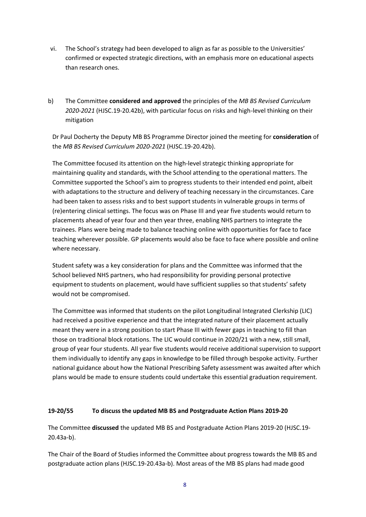- vi. The School's strategy had been developed to align as far as possible to the Universities' confirmed or expected strategic directions, with an emphasis more on educational aspects than research ones.
- b) The Committee **considered and approved** the principles of the *MB BS Revised Curriculum 2020-2021* (HJSC.19-20.42b), with particular focus on risks and high-level thinking on their mitigation

Dr Paul Docherty the Deputy MB BS Programme Director joined the meeting for **consideration** of the *MB BS Revised Curriculum 2020-2021* (HJSC.19-20.42b).

The Committee focused its attention on the high-level strategic thinking appropriate for maintaining quality and standards, with the School attending to the operational matters. The Committee supported the School's aim to progress students to their intended end point, albeit with adaptations to the structure and delivery of teaching necessary in the circumstances. Care had been taken to assess risks and to best support students in vulnerable groups in terms of (re)entering clinical settings. The focus was on Phase III and year five students would return to placements ahead of year four and then year three, enabling NHS partners to integrate the trainees. Plans were being made to balance teaching online with opportunities for face to face teaching wherever possible. GP placements would also be face to face where possible and online where necessary.

Student safety was a key consideration for plans and the Committee was informed that the School believed NHS partners, who had responsibility for providing personal protective equipment to students on placement, would have sufficient supplies so that students' safety would not be compromised.

The Committee was informed that students on the pilot Longitudinal Integrated Clerkship (LIC) had received a positive experience and that the integrated nature of their placement actually meant they were in a strong position to start Phase III with fewer gaps in teaching to fill than those on traditional block rotations. The LIC would continue in 2020/21 with a new, still small, group of year four students. All year five students would receive additional supervision to support them individually to identify any gaps in knowledge to be filled through bespoke activity. Further national guidance about how the National Prescribing Safety assessment was awaited after which plans would be made to ensure students could undertake this essential graduation requirement.

### **19-20/55 To discuss the updated MB BS and Postgraduate Action Plans 2019-20**

The Committee **discussed** the updated MB BS and Postgraduate Action Plans 2019-20 (HJSC.19- 20.43a-b).

The Chair of the Board of Studies informed the Committee about progress towards the MB BS and postgraduate action plans (HJSC.19-20.43a-b). Most areas of the MB BS plans had made good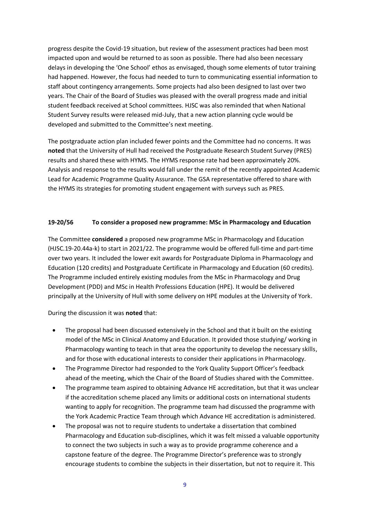progress despite the Covid-19 situation, but review of the assessment practices had been most impacted upon and would be returned to as soon as possible. There had also been necessary delays in developing the 'One School' ethos as envisaged, though some elements of tutor training had happened. However, the focus had needed to turn to communicating essential information to staff about contingency arrangements. Some projects had also been designed to last over two years. The Chair of the Board of Studies was pleased with the overall progress made and initial student feedback received at School committees. HJSC was also reminded that when National Student Survey results were released mid-July, that a new action planning cycle would be developed and submitted to the Committee's next meeting.

The postgraduate action plan included fewer points and the Committee had no concerns. It was **noted** that the University of Hull had received the Postgraduate Research Student Survey (PRES) results and shared these with HYMS. The HYMS response rate had been approximately 20%. Analysis and response to the results would fall under the remit of the recently appointed Academic Lead for Academic Programme Quality Assurance. The GSA representative offered to share with the HYMS its strategies for promoting student engagement with surveys such as PRES.

# **19-20/56 To consider a proposed new programme: MSc in Pharmacology and Education**

The Committee **considered** a proposed new programme MSc in Pharmacology and Education (HJSC.19-20.44a-k) to start in 2021/22. The programme would be offered full-time and part-time over two years. It included the lower exit awards for Postgraduate Diploma in Pharmacology and Education (120 credits) and Postgraduate Certificate in Pharmacology and Education (60 credits). The Programme included entirely existing modules from the MSc in Pharmacology and Drug Development (PDD) and MSc in Health Professions Education (HPE). It would be delivered principally at the University of Hull with some delivery on HPE modules at the University of York.

During the discussion it was **noted** that:

- The proposal had been discussed extensively in the School and that it built on the existing model of the MSc in Clinical Anatomy and Education. It provided those studying/ working in Pharmacology wanting to teach in that area the opportunity to develop the necessary skills, and for those with educational interests to consider their applications in Pharmacology.
- The Programme Director had responded to the York Quality Support Officer's feedback ahead of the meeting, which the Chair of the Board of Studies shared with the Committee.
- The programme team aspired to obtaining Advance HE accreditation, but that it was unclear if the accreditation scheme placed any limits or additional costs on international students wanting to apply for recognition. The programme team had discussed the programme with the York Academic Practice Team through which Advance HE accreditation is administered.
- The proposal was not to require students to undertake a dissertation that combined Pharmacology and Education sub-disciplines, which it was felt missed a valuable opportunity to connect the two subjects in such a way as to provide programme coherence and a capstone feature of the degree. The Programme Director's preference was to strongly encourage students to combine the subjects in their dissertation, but not to require it. This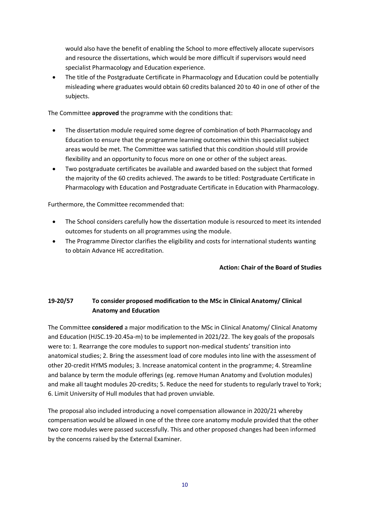would also have the benefit of enabling the School to more effectively allocate supervisors and resource the dissertations, which would be more difficult if supervisors would need specialist Pharmacology and Education experience.

 The title of the Postgraduate Certificate in Pharmacology and Education could be potentially misleading where graduates would obtain 60 credits balanced 20 to 40 in one of other of the subjects.

The Committee **approved** the programme with the conditions that:

- The dissertation module required some degree of combination of both Pharmacology and Education to ensure that the programme learning outcomes within this specialist subject areas would be met. The Committee was satisfied that this condition should still provide flexibility and an opportunity to focus more on one or other of the subject areas.
- Two postgraduate certificates be available and awarded based on the subject that formed the majority of the 60 credits achieved. The awards to be titled: Postgraduate Certificate in Pharmacology with Education and Postgraduate Certificate in Education with Pharmacology.

Furthermore, the Committee recommended that:

- The School considers carefully how the dissertation module is resourced to meet its intended outcomes for students on all programmes using the module.
- The Programme Director clarifies the eligibility and costs for international students wanting to obtain Advance HE accreditation.

**Action: Chair of the Board of Studies**

# **19-20/57 To consider proposed modification to the MSc in Clinical Anatomy/ Clinical Anatomy and Education**

The Committee **considered** a major modification to the MSc in Clinical Anatomy/ Clinical Anatomy and Education (HJSC.19-20.45a-m) to be implemented in 2021/22. The key goals of the proposals were to: 1. Rearrange the core modules to support non-medical students' transition into anatomical studies; 2. Bring the assessment load of core modules into line with the assessment of other 20-credit HYMS modules; 3. Increase anatomical content in the programme; 4. Streamline and balance by term the module offerings (eg. remove Human Anatomy and Evolution modules) and make all taught modules 20-credits; 5. Reduce the need for students to regularly travel to York; 6. Limit University of Hull modules that had proven unviable.

The proposal also included introducing a novel compensation allowance in 2020/21 whereby compensation would be allowed in one of the three core anatomy module provided that the other two core modules were passed successfully. This and other proposed changes had been informed by the concerns raised by the External Examiner.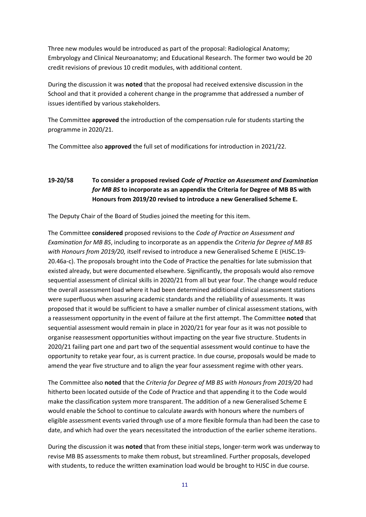Three new modules would be introduced as part of the proposal: Radiological Anatomy; Embryology and Clinical Neuroanatomy; and Educational Research. The former two would be 20 credit revisions of previous 10 credit modules, with additional content.

During the discussion it was **noted** that the proposal had received extensive discussion in the School and that it provided a coherent change in the programme that addressed a number of issues identified by various stakeholders.

The Committee **approved** the introduction of the compensation rule for students starting the programme in 2020/21.

The Committee also **approved** the full set of modifications for introduction in 2021/22.

# **19-20/58 To consider a proposed revised** *Code of Practice on Assessment and Examination for MB BS* **to incorporate as an appendix the Criteria for Degree of MB BS with Honours from 2019/20 revised to introduce a new Generalised Scheme E.**

The Deputy Chair of the Board of Studies joined the meeting for this item.

The Committee **considered** proposed revisions to the *Code of Practice on Assessment and Examination for MB BS*, including to incorporate as an appendix the *Criteria for Degree of MB BS with Honours from 2019/20,* itself revised to introduce a new Generalised Scheme E (HJSC.19- 20.46a-c). The proposals brought into the Code of Practice the penalties for late submission that existed already, but were documented elsewhere. Significantly, the proposals would also remove sequential assessment of clinical skills in 2020/21 from all but year four. The change would reduce the overall assessment load where it had been determined additional clinical assessment stations were superfluous when assuring academic standards and the reliability of assessments. It was proposed that it would be sufficient to have a smaller number of clinical assessment stations, with a reassessment opportunity in the event of failure at the first attempt. The Committee **noted** that sequential assessment would remain in place in 2020/21 for year four as it was not possible to organise reassessment opportunities without impacting on the year five structure. Students in 2020/21 failing part one and part two of the sequential assessment would continue to have the opportunity to retake year four, as is current practice. In due course, proposals would be made to amend the year five structure and to align the year four assessment regime with other years.

The Committee also **noted** that the *Criteria for Degree of MB BS with Honours from 2019/20* had hitherto been located outside of the Code of Practice and that appending it to the Code would make the classification system more transparent. The addition of a new Generalised Scheme E would enable the School to continue to calculate awards with honours where the numbers of eligible assessment events varied through use of a more flexible formula than had been the case to date, and which had over the years necessitated the introduction of the earlier scheme iterations.

During the discussion it was **noted** that from these initial steps, longer-term work was underway to revise MB BS assessments to make them robust, but streamlined. Further proposals, developed with students, to reduce the written examination load would be brought to HJSC in due course.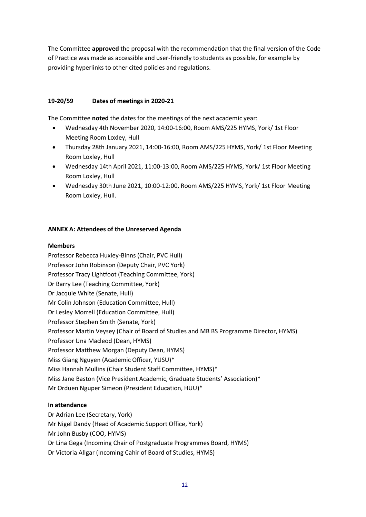The Committee **approved** the proposal with the recommendation that the final version of the Code of Practice was made as accessible and user-friendly to students as possible, for example by providing hyperlinks to other cited policies and regulations.

# **19-20/59 Dates of meetings in 2020-21**

The Committee **noted** the dates for the meetings of the next academic year:

- Wednesday 4th November 2020, 14:00-16:00, Room AMS/225 HYMS, York/ 1st Floor Meeting Room Loxley, Hull
- Thursday 28th January 2021, 14:00-16:00, Room AMS/225 HYMS, York/ 1st Floor Meeting Room Loxley, Hull
- Wednesday 14th April 2021, 11:00-13:00, Room AMS/225 HYMS, York/ 1st Floor Meeting Room Loxley, Hull
- Wednesday 30th June 2021, 10:00-12:00, Room AMS/225 HYMS, York/ 1st Floor Meeting Room Loxley, Hull.

# **ANNEX A: Attendees of the Unreserved Agenda**

### **Members**

Professor Rebecca Huxley-Binns (Chair, PVC Hull) Professor John Robinson (Deputy Chair, PVC York) Professor Tracy Lightfoot (Teaching Committee, York) Dr Barry Lee (Teaching Committee, York) Dr Jacquie White (Senate, Hull) Mr Colin Johnson (Education Committee, Hull) Dr Lesley Morrell (Education Committee, Hull) Professor Stephen Smith (Senate, York) Professor Martin Veysey (Chair of Board of Studies and MB BS Programme Director, HYMS) Professor Una Macleod (Dean, HYMS) Professor Matthew Morgan (Deputy Dean, HYMS) Miss Giang Nguyen (Academic Officer, YUSU)\* Miss Hannah Mullins (Chair Student Staff Committee, HYMS)\* Miss Jane Baston (Vice President Academic, Graduate Students' Association)\* Mr Orduen Nguper Simeon (President Education, HUU)\*

### **In attendance**

Dr Adrian Lee (Secretary, York) Mr Nigel Dandy (Head of Academic Support Office, York) Mr John Busby (COO, HYMS) Dr Lina Gega (Incoming Chair of Postgraduate Programmes Board, HYMS) Dr Victoria Allgar (Incoming Cahir of Board of Studies, HYMS)